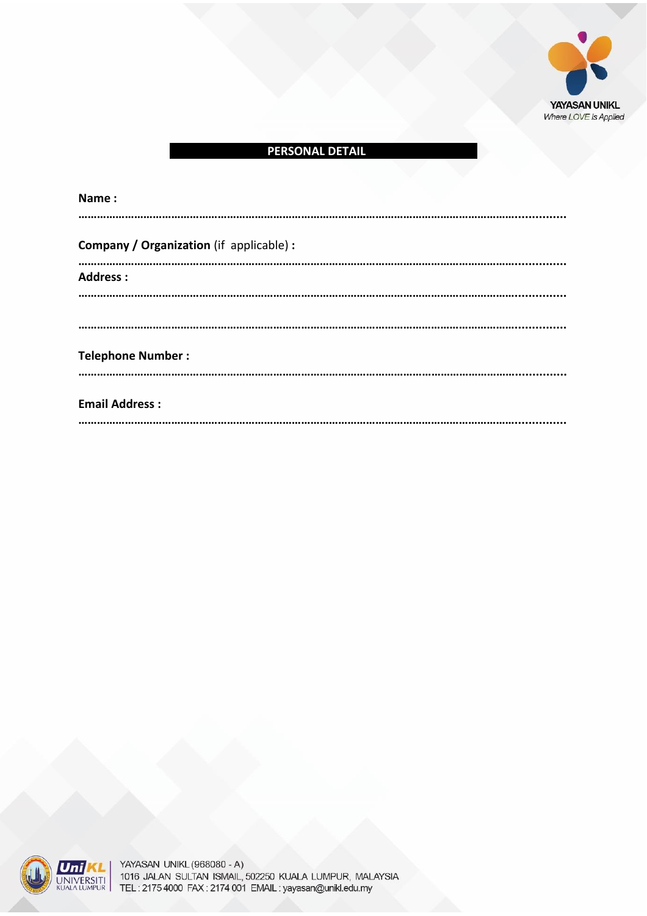

## **PERSONAL DETAIL**

| Name:                                    |  |
|------------------------------------------|--|
| Company / Organization (if applicable) : |  |
| <b>Address:</b>                          |  |
|                                          |  |
| <b>Telephone Number:</b>                 |  |
| <b>Email Address:</b>                    |  |



YAYASAN UNIVERSITI KUALA LUMPUR, 1016 JALAN SULTAN ISMAIL, 50250 KUALA LUMPUR, MALAYSIA LUMPUR, MALAYSIA LUMPU TEL: 2000000 FAX:<br>SHETAN ISMAIL: 502250 KHALA LIIMPLIR. MALAYSIA